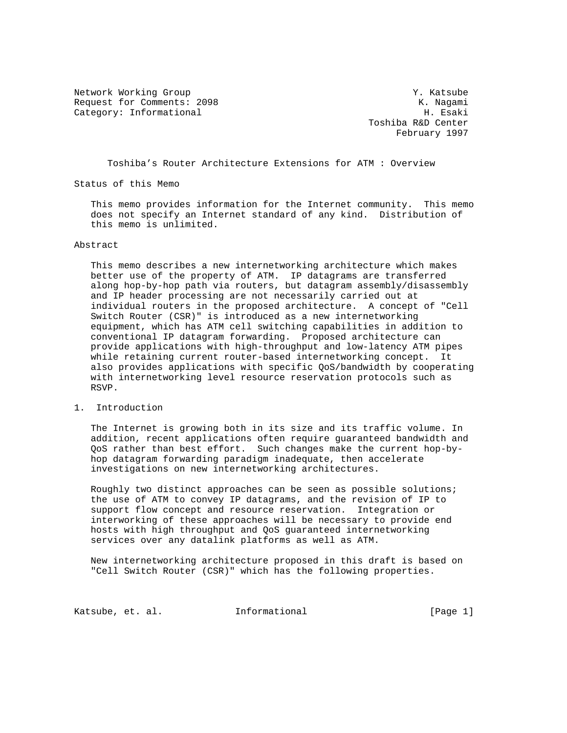Network Working Group Network Working Group Network Working Group Request for Comments: 2098 K. Nagami K. Nagami K. Request for Comments: 2098 K. Request for Comments: 2008 K. Nagami Category: Informational

 Toshiba R&D Center February 1997

Toshiba's Router Architecture Extensions for ATM : Overview

Status of this Memo

 This memo provides information for the Internet community. This memo does not specify an Internet standard of any kind. Distribution of this memo is unlimited.

## Abstract

 This memo describes a new internetworking architecture which makes better use of the property of ATM. IP datagrams are transferred along hop-by-hop path via routers, but datagram assembly/disassembly and IP header processing are not necessarily carried out at individual routers in the proposed architecture. A concept of "Cell Switch Router (CSR)" is introduced as a new internetworking equipment, which has ATM cell switching capabilities in addition to conventional IP datagram forwarding. Proposed architecture can provide applications with high-throughput and low-latency ATM pipes while retaining current router-based internetworking concept. It also provides applications with specific QoS/bandwidth by cooperating with internetworking level resource reservation protocols such as RSVP.

## 1. Introduction

 The Internet is growing both in its size and its traffic volume. In addition, recent applications often require guaranteed bandwidth and QoS rather than best effort. Such changes make the current hop-by hop datagram forwarding paradigm inadequate, then accelerate investigations on new internetworking architectures.

 Roughly two distinct approaches can be seen as possible solutions; the use of ATM to convey IP datagrams, and the revision of IP to support flow concept and resource reservation. Integration or interworking of these approaches will be necessary to provide end hosts with high throughput and QoS guaranteed internetworking services over any datalink platforms as well as ATM.

 New internetworking architecture proposed in this draft is based on "Cell Switch Router (CSR)" which has the following properties.

Katsube, et. al. 1nformational [Page 1]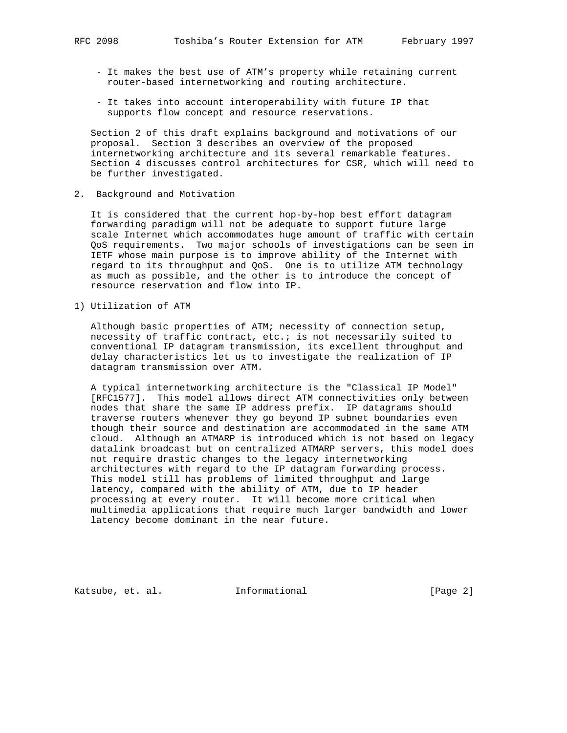- It makes the best use of ATM's property while retaining current router-based internetworking and routing architecture.
- It takes into account interoperability with future IP that supports flow concept and resource reservations.

 Section 2 of this draft explains background and motivations of our proposal. Section 3 describes an overview of the proposed internetworking architecture and its several remarkable features. Section 4 discusses control architectures for CSR, which will need to be further investigated.

2. Background and Motivation

 It is considered that the current hop-by-hop best effort datagram forwarding paradigm will not be adequate to support future large scale Internet which accommodates huge amount of traffic with certain QoS requirements. Two major schools of investigations can be seen in IETF whose main purpose is to improve ability of the Internet with regard to its throughput and QoS. One is to utilize ATM technology as much as possible, and the other is to introduce the concept of resource reservation and flow into IP.

1) Utilization of ATM

 Although basic properties of ATM; necessity of connection setup, necessity of traffic contract, etc.; is not necessarily suited to conventional IP datagram transmission, its excellent throughput and delay characteristics let us to investigate the realization of IP datagram transmission over ATM.

 A typical internetworking architecture is the "Classical IP Model" [RFC1577]. This model allows direct ATM connectivities only between nodes that share the same IP address prefix. IP datagrams should traverse routers whenever they go beyond IP subnet boundaries even though their source and destination are accommodated in the same ATM cloud. Although an ATMARP is introduced which is not based on legacy datalink broadcast but on centralized ATMARP servers, this model does not require drastic changes to the legacy internetworking architectures with regard to the IP datagram forwarding process. This model still has problems of limited throughput and large latency, compared with the ability of ATM, due to IP header processing at every router. It will become more critical when multimedia applications that require much larger bandwidth and lower latency become dominant in the near future.

Katsube, et. al. 1nformational [Page 2]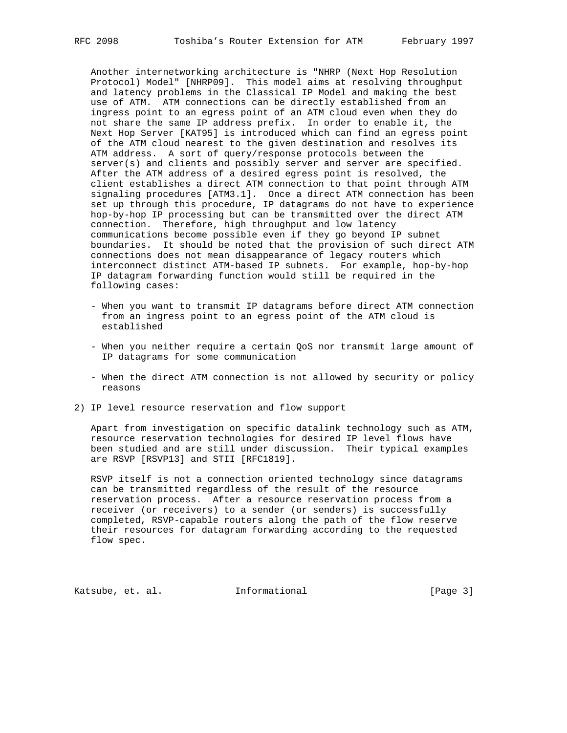Another internetworking architecture is "NHRP (Next Hop Resolution Protocol) Model" [NHRP09]. This model aims at resolving throughput and latency problems in the Classical IP Model and making the best use of ATM. ATM connections can be directly established from an ingress point to an egress point of an ATM cloud even when they do not share the same IP address prefix. In order to enable it, the Next Hop Server [KAT95] is introduced which can find an egress point of the ATM cloud nearest to the given destination and resolves its ATM address. A sort of query/response protocols between the server(s) and clients and possibly server and server are specified. After the ATM address of a desired egress point is resolved, the client establishes a direct ATM connection to that point through ATM signaling procedures [ATM3.1]. Once a direct ATM connection has been set up through this procedure, IP datagrams do not have to experience hop-by-hop IP processing but can be transmitted over the direct ATM connection. Therefore, high throughput and low latency communications become possible even if they go beyond IP subnet boundaries. It should be noted that the provision of such direct ATM connections does not mean disappearance of legacy routers which interconnect distinct ATM-based IP subnets. For example, hop-by-hop IP datagram forwarding function would still be required in the following cases:

- When you want to transmit IP datagrams before direct ATM connection from an ingress point to an egress point of the ATM cloud is established
- When you neither require a certain QoS nor transmit large amount of IP datagrams for some communication
- When the direct ATM connection is not allowed by security or policy reasons
- 2) IP level resource reservation and flow support

 Apart from investigation on specific datalink technology such as ATM, resource reservation technologies for desired IP level flows have been studied and are still under discussion. Their typical examples are RSVP [RSVP13] and STII [RFC1819].

 RSVP itself is not a connection oriented technology since datagrams can be transmitted regardless of the result of the resource reservation process. After a resource reservation process from a receiver (or receivers) to a sender (or senders) is successfully completed, RSVP-capable routers along the path of the flow reserve their resources for datagram forwarding according to the requested flow spec.

Katsube, et. al. 1nformational [Page 3]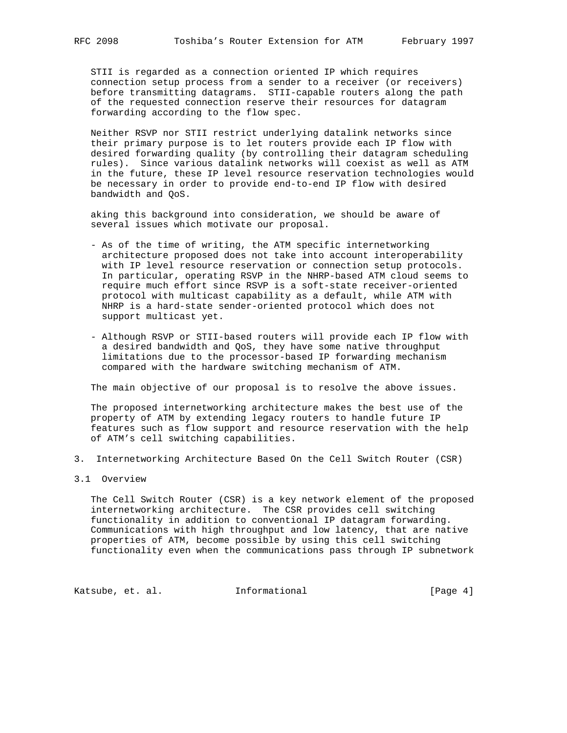STII is regarded as a connection oriented IP which requires connection setup process from a sender to a receiver (or receivers) before transmitting datagrams. STII-capable routers along the path of the requested connection reserve their resources for datagram forwarding according to the flow spec.

 Neither RSVP nor STII restrict underlying datalink networks since their primary purpose is to let routers provide each IP flow with desired forwarding quality (by controlling their datagram scheduling rules). Since various datalink networks will coexist as well as ATM in the future, these IP level resource reservation technologies would be necessary in order to provide end-to-end IP flow with desired bandwidth and QoS.

 aking this background into consideration, we should be aware of several issues which motivate our proposal.

- As of the time of writing, the ATM specific internetworking architecture proposed does not take into account interoperability with IP level resource reservation or connection setup protocols. In particular, operating RSVP in the NHRP-based ATM cloud seems to require much effort since RSVP is a soft-state receiver-oriented protocol with multicast capability as a default, while ATM with NHRP is a hard-state sender-oriented protocol which does not support multicast yet.
- Although RSVP or STII-based routers will provide each IP flow with a desired bandwidth and QoS, they have some native throughput limitations due to the processor-based IP forwarding mechanism compared with the hardware switching mechanism of ATM.

The main objective of our proposal is to resolve the above issues.

 The proposed internetworking architecture makes the best use of the property of ATM by extending legacy routers to handle future IP features such as flow support and resource reservation with the help of ATM's cell switching capabilities.

- 3. Internetworking Architecture Based On the Cell Switch Router (CSR)
- 3.1 Overview

 The Cell Switch Router (CSR) is a key network element of the proposed internetworking architecture. The CSR provides cell switching functionality in addition to conventional IP datagram forwarding. Communications with high throughput and low latency, that are native properties of ATM, become possible by using this cell switching functionality even when the communications pass through IP subnetwork

Katsube, et. al. 1nformational 1999 [Page 4]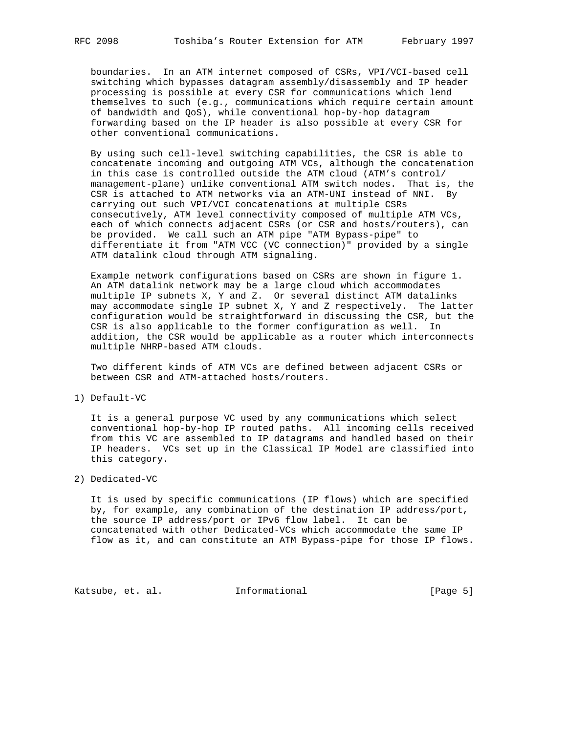boundaries. In an ATM internet composed of CSRs, VPI/VCI-based cell switching which bypasses datagram assembly/disassembly and IP header processing is possible at every CSR for communications which lend themselves to such (e.g., communications which require certain amount of bandwidth and QoS), while conventional hop-by-hop datagram forwarding based on the IP header is also possible at every CSR for other conventional communications.

 By using such cell-level switching capabilities, the CSR is able to concatenate incoming and outgoing ATM VCs, although the concatenation in this case is controlled outside the ATM cloud (ATM's control/ management-plane) unlike conventional ATM switch nodes. That is, the CSR is attached to ATM networks via an ATM-UNI instead of NNI. By carrying out such VPI/VCI concatenations at multiple CSRs consecutively, ATM level connectivity composed of multiple ATM VCs, each of which connects adjacent CSRs (or CSR and hosts/routers), can be provided. We call such an ATM pipe "ATM Bypass-pipe" to differentiate it from "ATM VCC (VC connection)" provided by a single ATM datalink cloud through ATM signaling.

 Example network configurations based on CSRs are shown in figure 1. An ATM datalink network may be a large cloud which accommodates multiple IP subnets X, Y and Z. Or several distinct ATM datalinks may accommodate single IP subnet X, Y and Z respectively. The latter configuration would be straightforward in discussing the CSR, but the CSR is also applicable to the former configuration as well. In addition, the CSR would be applicable as a router which interconnects multiple NHRP-based ATM clouds.

 Two different kinds of ATM VCs are defined between adjacent CSRs or between CSR and ATM-attached hosts/routers.

1) Default-VC

 It is a general purpose VC used by any communications which select conventional hop-by-hop IP routed paths. All incoming cells received from this VC are assembled to IP datagrams and handled based on their IP headers. VCs set up in the Classical IP Model are classified into this category.

2) Dedicated-VC

 It is used by specific communications (IP flows) which are specified by, for example, any combination of the destination IP address/port, the source IP address/port or IPv6 flow label. It can be concatenated with other Dedicated-VCs which accommodate the same IP flow as it, and can constitute an ATM Bypass-pipe for those IP flows.

Katsube, et. al. 1nformational 1999 [Page 5]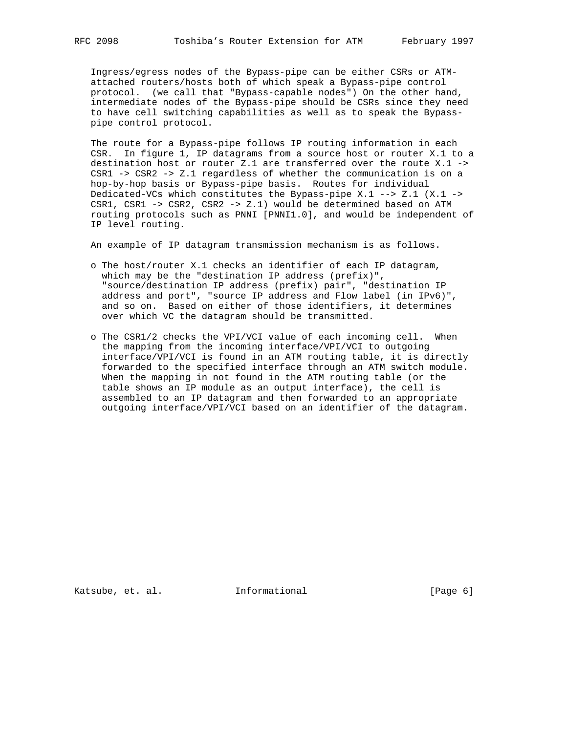Ingress/egress nodes of the Bypass-pipe can be either CSRs or ATM attached routers/hosts both of which speak a Bypass-pipe control protocol. (we call that "Bypass-capable nodes") On the other hand, intermediate nodes of the Bypass-pipe should be CSRs since they need to have cell switching capabilities as well as to speak the Bypass pipe control protocol.

 The route for a Bypass-pipe follows IP routing information in each CSR. In figure 1, IP datagrams from a source host or router X.1 to a destination host or router Z.1 are transferred over the route X.1 -> CSR1 -> CSR2 -> Z.1 regardless of whether the communication is on a hop-by-hop basis or Bypass-pipe basis. Routes for individual Dedicated-VCs which constitutes the Bypass-pipe X.1 --> Z.1  $(X.1 -$  CSR1, CSR1 -> CSR2, CSR2 -> Z.1) would be determined based on ATM routing protocols such as PNNI [PNNI1.0], and would be independent of IP level routing.

An example of IP datagram transmission mechanism is as follows.

- o The host/router X.1 checks an identifier of each IP datagram, which may be the "destination IP address (prefix)", "source/destination IP address (prefix) pair", "destination IP address and port", "source IP address and Flow label (in IPv6)", and so on. Based on either of those identifiers, it determines over which VC the datagram should be transmitted.
- o The CSR1/2 checks the VPI/VCI value of each incoming cell. When the mapping from the incoming interface/VPI/VCI to outgoing interface/VPI/VCI is found in an ATM routing table, it is directly forwarded to the specified interface through an ATM switch module. When the mapping in not found in the ATM routing table (or the table shows an IP module as an output interface), the cell is assembled to an IP datagram and then forwarded to an appropriate outgoing interface/VPI/VCI based on an identifier of the datagram.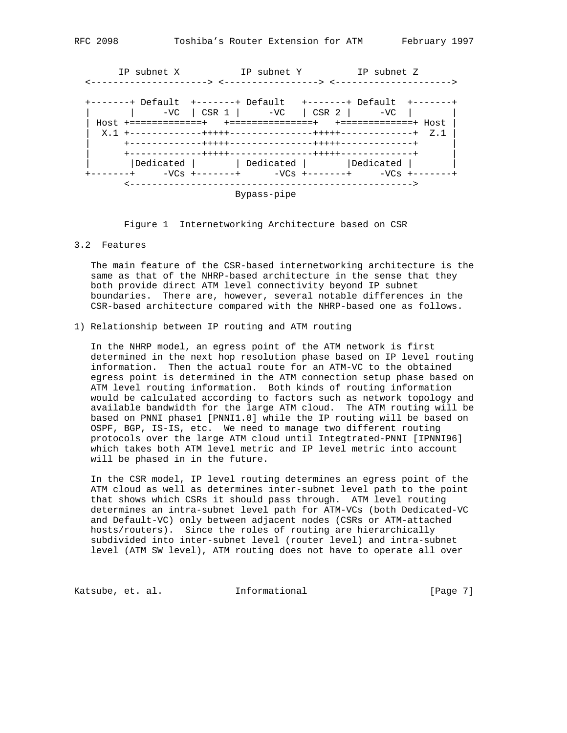IP subnet X IP subnet Y IP subnet Z <---------------------> <-----------------> <---------------------> +-------+ Default +-------+ Default +-------+ Default +-------+ | | -VC | CSR 1 | -VC | CSR 2 | -VC | | | Host +=============+ +===============+ +=============+ Host | | X.1 +-------------+++++---------------+++++-------------+ Z.1 | | +-------------+++++---------------+++++-------------+ | | +-------------+++++---------------+++++-------------+ | | Dedicated | | | Dedicated | | | | Dedicated | +-------+ -VCs +-------+ -VCs +-------+ -VCs +-------+ <---------------------------------------------------> Bypass-pipe

Figure 1 Internetworking Architecture based on CSR

3.2 Features

 The main feature of the CSR-based internetworking architecture is the same as that of the NHRP-based architecture in the sense that they both provide direct ATM level connectivity beyond IP subnet boundaries. There are, however, several notable differences in the CSR-based architecture compared with the NHRP-based one as follows.

1) Relationship between IP routing and ATM routing

 In the NHRP model, an egress point of the ATM network is first determined in the next hop resolution phase based on IP level routing information. Then the actual route for an ATM-VC to the obtained egress point is determined in the ATM connection setup phase based on ATM level routing information. Both kinds of routing information would be calculated according to factors such as network topology and available bandwidth for the large ATM cloud. The ATM routing will be based on PNNI phase1 [PNNI1.0] while the IP routing will be based on OSPF, BGP, IS-IS, etc. We need to manage two different routing protocols over the large ATM cloud until Integtrated-PNNI [IPNNI96] which takes both ATM level metric and IP level metric into account will be phased in in the future.

 In the CSR model, IP level routing determines an egress point of the ATM cloud as well as determines inter-subnet level path to the point that shows which CSRs it should pass through. ATM level routing determines an intra-subnet level path for ATM-VCs (both Dedicated-VC and Default-VC) only between adjacent nodes (CSRs or ATM-attached hosts/routers). Since the roles of routing are hierarchically subdivided into inter-subnet level (router level) and intra-subnet level (ATM SW level), ATM routing does not have to operate all over

Katsube, et. al. 1nformational 1999 [Page 7]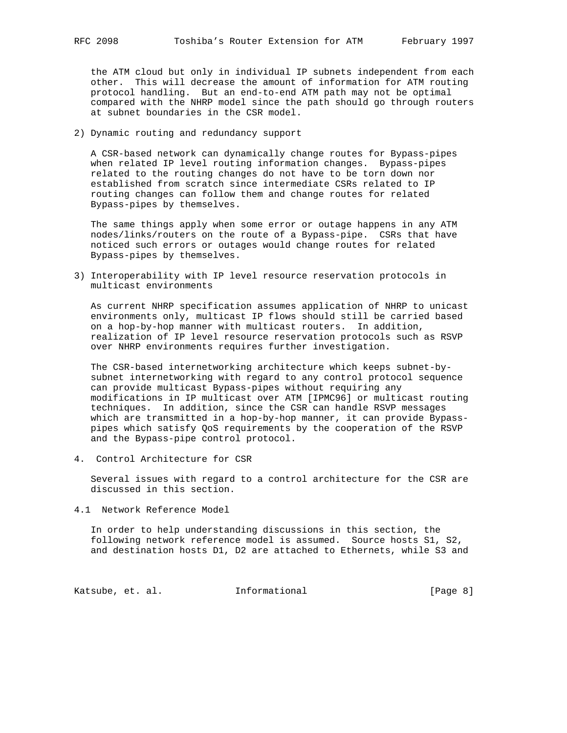the ATM cloud but only in individual IP subnets independent from each other. This will decrease the amount of information for ATM routing protocol handling. But an end-to-end ATM path may not be optimal compared with the NHRP model since the path should go through routers at subnet boundaries in the CSR model.

2) Dynamic routing and redundancy support

 A CSR-based network can dynamically change routes for Bypass-pipes when related IP level routing information changes. Bypass-pipes related to the routing changes do not have to be torn down nor established from scratch since intermediate CSRs related to IP routing changes can follow them and change routes for related Bypass-pipes by themselves.

 The same things apply when some error or outage happens in any ATM nodes/links/routers on the route of a Bypass-pipe. CSRs that have noticed such errors or outages would change routes for related Bypass-pipes by themselves.

3) Interoperability with IP level resource reservation protocols in multicast environments

 As current NHRP specification assumes application of NHRP to unicast environments only, multicast IP flows should still be carried based on a hop-by-hop manner with multicast routers. In addition, realization of IP level resource reservation protocols such as RSVP over NHRP environments requires further investigation.

 The CSR-based internetworking architecture which keeps subnet-by subnet internetworking with regard to any control protocol sequence can provide multicast Bypass-pipes without requiring any modifications in IP multicast over ATM [IPMC96] or multicast routing techniques. In addition, since the CSR can handle RSVP messages which are transmitted in a hop-by-hop manner, it can provide Bypass pipes which satisfy QoS requirements by the cooperation of the RSVP and the Bypass-pipe control protocol.

4. Control Architecture for CSR

 Several issues with regard to a control architecture for the CSR are discussed in this section.

4.1 Network Reference Model

 In order to help understanding discussions in this section, the following network reference model is assumed. Source hosts S1, S2, and destination hosts D1, D2 are attached to Ethernets, while S3 and

Katsube, et. al. 1nformational 1999 [Page 8]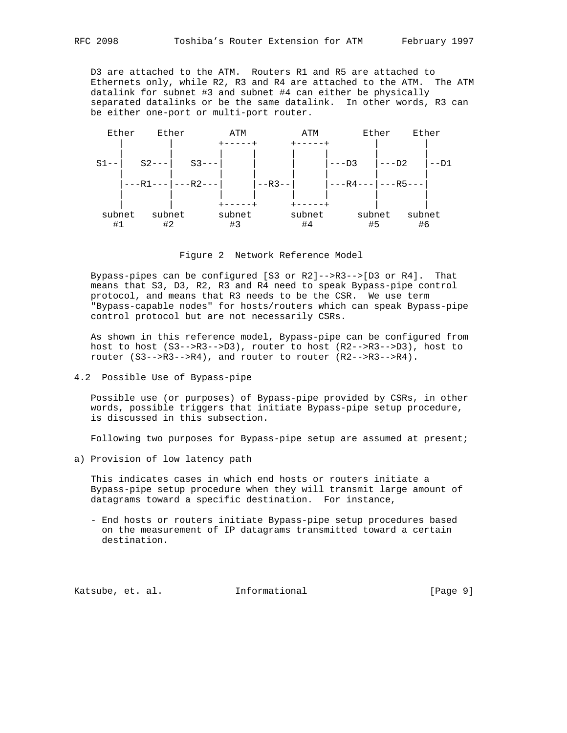D3 are attached to the ATM. Routers R1 and R5 are attached to Ethernets only, while R2, R3 and R4 are attached to the ATM. The ATM datalink for subnet #3 and subnet #4 can either be physically separated datalinks or be the same datalink. In other words, R3 can be either one-port or multi-port router.



Figure 2 Network Reference Model

 Bypass-pipes can be configured [S3 or R2]-->R3-->[D3 or R4]. That means that S3, D3, R2, R3 and R4 need to speak Bypass-pipe control protocol, and means that R3 needs to be the CSR. We use term "Bypass-capable nodes" for hosts/routers which can speak Bypass-pipe control protocol but are not necessarily CSRs.

 As shown in this reference model, Bypass-pipe can be configured from host to host (S3-->R3-->D3), router to host (R2-->R3-->D3), host to router (S3-->R3-->R4), and router to router (R2-->R3-->R4).

4.2 Possible Use of Bypass-pipe

 Possible use (or purposes) of Bypass-pipe provided by CSRs, in other words, possible triggers that initiate Bypass-pipe setup procedure, is discussed in this subsection.

Following two purposes for Bypass-pipe setup are assumed at present;

a) Provision of low latency path

 This indicates cases in which end hosts or routers initiate a Bypass-pipe setup procedure when they will transmit large amount of datagrams toward a specific destination. For instance,

 - End hosts or routers initiate Bypass-pipe setup procedures based on the measurement of IP datagrams transmitted toward a certain destination.

Katsube, et. al. 1nformational 1999 [Page 9]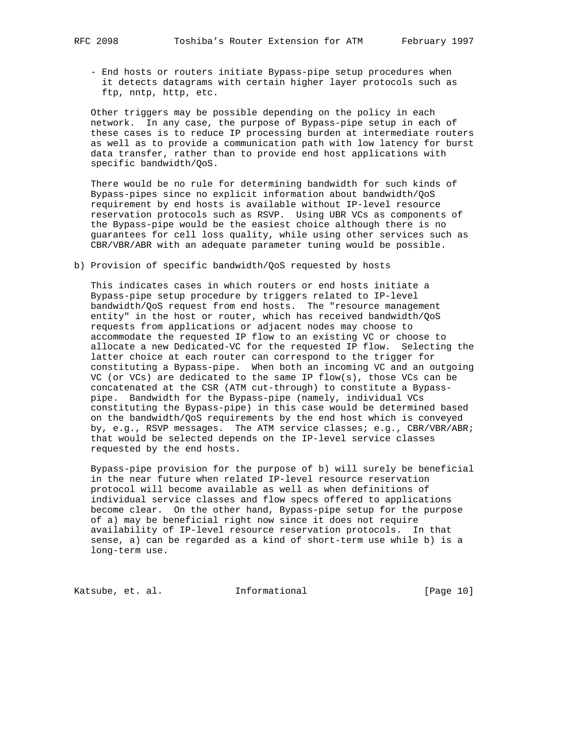- End hosts or routers initiate Bypass-pipe setup procedures when it detects datagrams with certain higher layer protocols such as ftp, nntp, http, etc.

 Other triggers may be possible depending on the policy in each network. In any case, the purpose of Bypass-pipe setup in each of these cases is to reduce IP processing burden at intermediate routers as well as to provide a communication path with low latency for burst data transfer, rather than to provide end host applications with specific bandwidth/QoS.

 There would be no rule for determining bandwidth for such kinds of Bypass-pipes since no explicit information about bandwidth/QoS requirement by end hosts is available without IP-level resource reservation protocols such as RSVP. Using UBR VCs as components of the Bypass-pipe would be the easiest choice although there is no guarantees for cell loss quality, while using other services such as CBR/VBR/ABR with an adequate parameter tuning would be possible.

b) Provision of specific bandwidth/QoS requested by hosts

 This indicates cases in which routers or end hosts initiate a Bypass-pipe setup procedure by triggers related to IP-level bandwidth/QoS request from end hosts. The "resource management entity" in the host or router, which has received bandwidth/QoS requests from applications or adjacent nodes may choose to accommodate the requested IP flow to an existing VC or choose to allocate a new Dedicated-VC for the requested IP flow. Selecting the latter choice at each router can correspond to the trigger for constituting a Bypass-pipe. When both an incoming VC and an outgoing VC (or VCs) are dedicated to the same IP flow(s), those VCs can be concatenated at the CSR (ATM cut-through) to constitute a Bypass pipe. Bandwidth for the Bypass-pipe (namely, individual VCs constituting the Bypass-pipe) in this case would be determined based on the bandwidth/QoS requirements by the end host which is conveyed by, e.g., RSVP messages. The ATM service classes; e.g., CBR/VBR/ABR; that would be selected depends on the IP-level service classes requested by the end hosts.

 Bypass-pipe provision for the purpose of b) will surely be beneficial in the near future when related IP-level resource reservation protocol will become available as well as when definitions of individual service classes and flow specs offered to applications become clear. On the other hand, Bypass-pipe setup for the purpose of a) may be beneficial right now since it does not require availability of IP-level resource reservation protocols. In that sense, a) can be regarded as a kind of short-term use while b) is a long-term use.

Katsube, et. al. 1nformational [Page 10]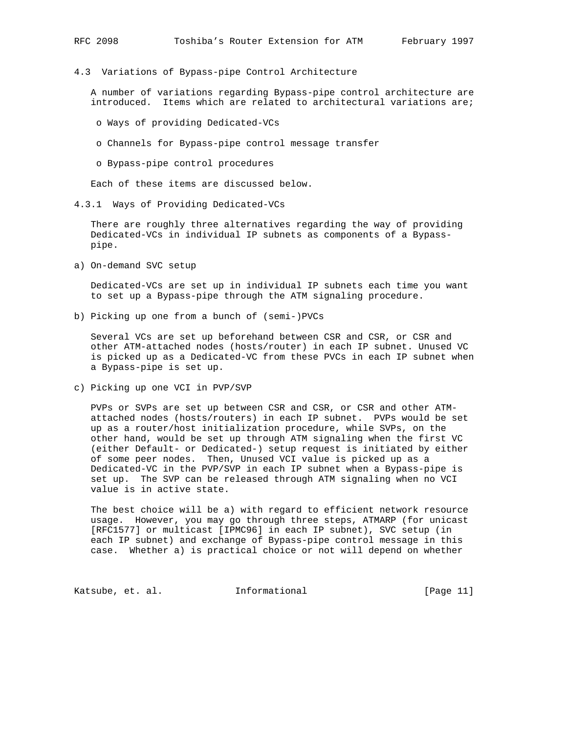4.3 Variations of Bypass-pipe Control Architecture

 A number of variations regarding Bypass-pipe control architecture are introduced. Items which are related to architectural variations are;

- o Ways of providing Dedicated-VCs
- o Channels for Bypass-pipe control message transfer
- o Bypass-pipe control procedures

Each of these items are discussed below.

4.3.1 Ways of Providing Dedicated-VCs

 There are roughly three alternatives regarding the way of providing Dedicated-VCs in individual IP subnets as components of a Bypass pipe.

a) On-demand SVC setup

 Dedicated-VCs are set up in individual IP subnets each time you want to set up a Bypass-pipe through the ATM signaling procedure.

b) Picking up one from a bunch of (semi-)PVCs

 Several VCs are set up beforehand between CSR and CSR, or CSR and other ATM-attached nodes (hosts/router) in each IP subnet. Unused VC is picked up as a Dedicated-VC from these PVCs in each IP subnet when a Bypass-pipe is set up.

c) Picking up one VCI in PVP/SVP

 PVPs or SVPs are set up between CSR and CSR, or CSR and other ATM attached nodes (hosts/routers) in each IP subnet. PVPs would be set up as a router/host initialization procedure, while SVPs, on the other hand, would be set up through ATM signaling when the first VC (either Default- or Dedicated-) setup request is initiated by either of some peer nodes. Then, Unused VCI value is picked up as a Dedicated-VC in the PVP/SVP in each IP subnet when a Bypass-pipe is set up. The SVP can be released through ATM signaling when no VCI value is in active state.

 The best choice will be a) with regard to efficient network resource usage. However, you may go through three steps, ATMARP (for unicast [RFC1577] or multicast [IPMC96] in each IP subnet), SVC setup (in each IP subnet) and exchange of Bypass-pipe control message in this case. Whether a) is practical choice or not will depend on whether

Katsube, et. al. 1nformational [Page 11]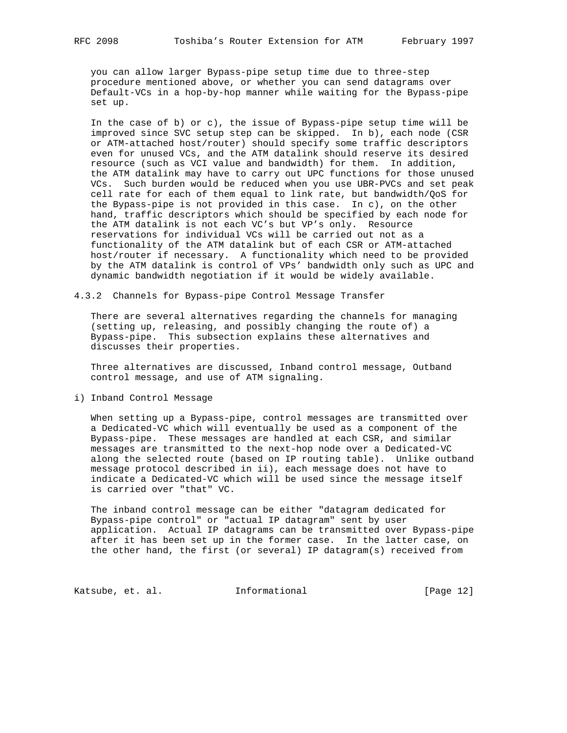you can allow larger Bypass-pipe setup time due to three-step procedure mentioned above, or whether you can send datagrams over Default-VCs in a hop-by-hop manner while waiting for the Bypass-pipe set up.

 In the case of b) or c), the issue of Bypass-pipe setup time will be improved since SVC setup step can be skipped. In b), each node (CSR or ATM-attached host/router) should specify some traffic descriptors even for unused VCs, and the ATM datalink should reserve its desired resource (such as VCI value and bandwidth) for them. In addition, the ATM datalink may have to carry out UPC functions for those unused VCs. Such burden would be reduced when you use UBR-PVCs and set peak cell rate for each of them equal to link rate, but bandwidth/QoS for the Bypass-pipe is not provided in this case. In c), on the other hand, traffic descriptors which should be specified by each node for the ATM datalink is not each VC's but VP's only. Resource reservations for individual VCs will be carried out not as a functionality of the ATM datalink but of each CSR or ATM-attached host/router if necessary. A functionality which need to be provided by the ATM datalink is control of VPs' bandwidth only such as UPC and dynamic bandwidth negotiation if it would be widely available.

4.3.2 Channels for Bypass-pipe Control Message Transfer

 There are several alternatives regarding the channels for managing (setting up, releasing, and possibly changing the route of) a Bypass-pipe. This subsection explains these alternatives and discusses their properties.

 Three alternatives are discussed, Inband control message, Outband control message, and use of ATM signaling.

i) Inband Control Message

 When setting up a Bypass-pipe, control messages are transmitted over a Dedicated-VC which will eventually be used as a component of the Bypass-pipe. These messages are handled at each CSR, and similar messages are transmitted to the next-hop node over a Dedicated-VC along the selected route (based on IP routing table). Unlike outband message protocol described in ii), each message does not have to indicate a Dedicated-VC which will be used since the message itself is carried over "that" VC.

 The inband control message can be either "datagram dedicated for Bypass-pipe control" or "actual IP datagram" sent by user application. Actual IP datagrams can be transmitted over Bypass-pipe after it has been set up in the former case. In the latter case, on the other hand, the first (or several) IP datagram(s) received from

Katsube, et. al. 1nformational 1999 [Page 12]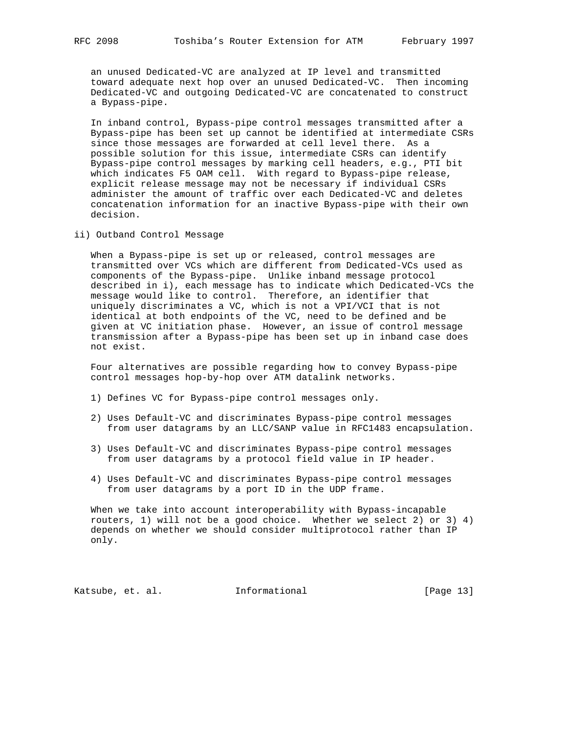an unused Dedicated-VC are analyzed at IP level and transmitted toward adequate next hop over an unused Dedicated-VC. Then incoming Dedicated-VC and outgoing Dedicated-VC are concatenated to construct a Bypass-pipe.

 In inband control, Bypass-pipe control messages transmitted after a Bypass-pipe has been set up cannot be identified at intermediate CSRs since those messages are forwarded at cell level there. As a possible solution for this issue, intermediate CSRs can identify Bypass-pipe control messages by marking cell headers, e.g., PTI bit which indicates F5 OAM cell. With regard to Bypass-pipe release, explicit release message may not be necessary if individual CSRs administer the amount of traffic over each Dedicated-VC and deletes concatenation information for an inactive Bypass-pipe with their own decision.

ii) Outband Control Message

 When a Bypass-pipe is set up or released, control messages are transmitted over VCs which are different from Dedicated-VCs used as components of the Bypass-pipe. Unlike inband message protocol described in i), each message has to indicate which Dedicated-VCs the message would like to control. Therefore, an identifier that uniquely discriminates a VC, which is not a VPI/VCI that is not identical at both endpoints of the VC, need to be defined and be given at VC initiation phase. However, an issue of control message transmission after a Bypass-pipe has been set up in inband case does not exist.

 Four alternatives are possible regarding how to convey Bypass-pipe control messages hop-by-hop over ATM datalink networks.

- 1) Defines VC for Bypass-pipe control messages only.
- 2) Uses Default-VC and discriminates Bypass-pipe control messages from user datagrams by an LLC/SANP value in RFC1483 encapsulation.
- 3) Uses Default-VC and discriminates Bypass-pipe control messages from user datagrams by a protocol field value in IP header.
- 4) Uses Default-VC and discriminates Bypass-pipe control messages from user datagrams by a port ID in the UDP frame.

 When we take into account interoperability with Bypass-incapable routers, 1) will not be a good choice. Whether we select 2) or 3) 4) depends on whether we should consider multiprotocol rather than IP only.

Katsube, et. al. Informational [Page 13]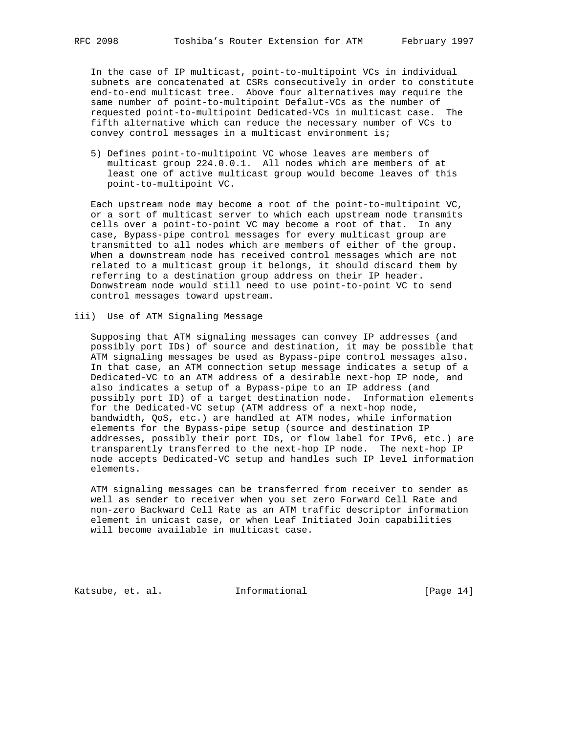In the case of IP multicast, point-to-multipoint VCs in individual subnets are concatenated at CSRs consecutively in order to constitute end-to-end multicast tree. Above four alternatives may require the same number of point-to-multipoint Defalut-VCs as the number of requested point-to-multipoint Dedicated-VCs in multicast case. The fifth alternative which can reduce the necessary number of VCs to convey control messages in a multicast environment is;

 5) Defines point-to-multipoint VC whose leaves are members of multicast group 224.0.0.1. All nodes which are members of at least one of active multicast group would become leaves of this point-to-multipoint VC.

 Each upstream node may become a root of the point-to-multipoint VC, or a sort of multicast server to which each upstream node transmits cells over a point-to-point VC may become a root of that. In any case, Bypass-pipe control messages for every multicast group are transmitted to all nodes which are members of either of the group. When a downstream node has received control messages which are not related to a multicast group it belongs, it should discard them by referring to a destination group address on their IP header. Donwstream node would still need to use point-to-point VC to send control messages toward upstream.

## iii) Use of ATM Signaling Message

 Supposing that ATM signaling messages can convey IP addresses (and possibly port IDs) of source and destination, it may be possible that ATM signaling messages be used as Bypass-pipe control messages also. In that case, an ATM connection setup message indicates a setup of a Dedicated-VC to an ATM address of a desirable next-hop IP node, and also indicates a setup of a Bypass-pipe to an IP address (and possibly port ID) of a target destination node. Information elements for the Dedicated-VC setup (ATM address of a next-hop node, bandwidth, QoS, etc.) are handled at ATM nodes, while information elements for the Bypass-pipe setup (source and destination IP addresses, possibly their port IDs, or flow label for IPv6, etc.) are transparently transferred to the next-hop IP node. The next-hop IP node accepts Dedicated-VC setup and handles such IP level information elements.

 ATM signaling messages can be transferred from receiver to sender as well as sender to receiver when you set zero Forward Cell Rate and non-zero Backward Cell Rate as an ATM traffic descriptor information element in unicast case, or when Leaf Initiated Join capabilities will become available in multicast case.

Katsube, et. al. Informational [Page 14]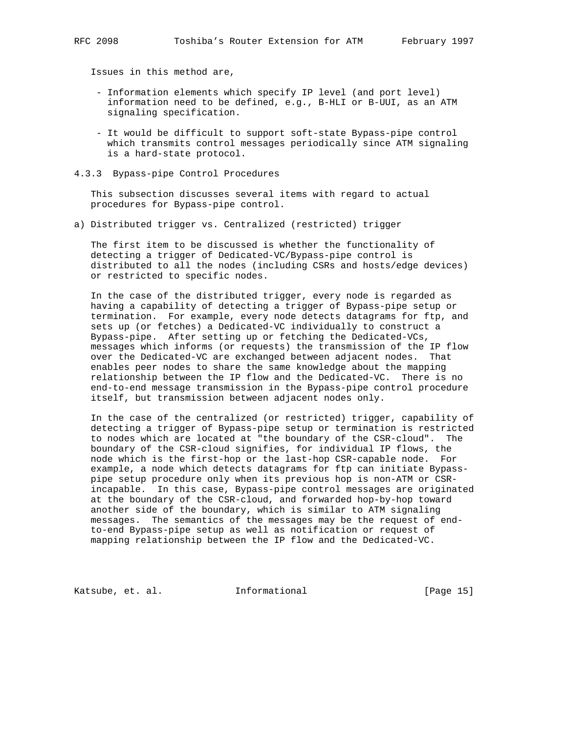Issues in this method are,

- Information elements which specify IP level (and port level) information need to be defined, e.g., B-HLI or B-UUI, as an ATM signaling specification.
- It would be difficult to support soft-state Bypass-pipe control which transmits control messages periodically since ATM signaling is a hard-state protocol.
- 4.3.3 Bypass-pipe Control Procedures

 This subsection discusses several items with regard to actual procedures for Bypass-pipe control.

a) Distributed trigger vs. Centralized (restricted) trigger

 The first item to be discussed is whether the functionality of detecting a trigger of Dedicated-VC/Bypass-pipe control is distributed to all the nodes (including CSRs and hosts/edge devices) or restricted to specific nodes.

 In the case of the distributed trigger, every node is regarded as having a capability of detecting a trigger of Bypass-pipe setup or termination. For example, every node detects datagrams for ftp, and sets up (or fetches) a Dedicated-VC individually to construct a Bypass-pipe. After setting up or fetching the Dedicated-VCs, messages which informs (or requests) the transmission of the IP flow over the Dedicated-VC are exchanged between adjacent nodes. That enables peer nodes to share the same knowledge about the mapping relationship between the IP flow and the Dedicated-VC. There is no end-to-end message transmission in the Bypass-pipe control procedure itself, but transmission between adjacent nodes only.

 In the case of the centralized (or restricted) trigger, capability of detecting a trigger of Bypass-pipe setup or termination is restricted to nodes which are located at "the boundary of the CSR-cloud". The boundary of the CSR-cloud signifies, for individual IP flows, the node which is the first-hop or the last-hop CSR-capable node. For example, a node which detects datagrams for ftp can initiate Bypass pipe setup procedure only when its previous hop is non-ATM or CSR incapable. In this case, Bypass-pipe control messages are originated at the boundary of the CSR-cloud, and forwarded hop-by-hop toward another side of the boundary, which is similar to ATM signaling messages. The semantics of the messages may be the request of end to-end Bypass-pipe setup as well as notification or request of mapping relationship between the IP flow and the Dedicated-VC.

Katsube, et. al. 1nformational 1999 [Page 15]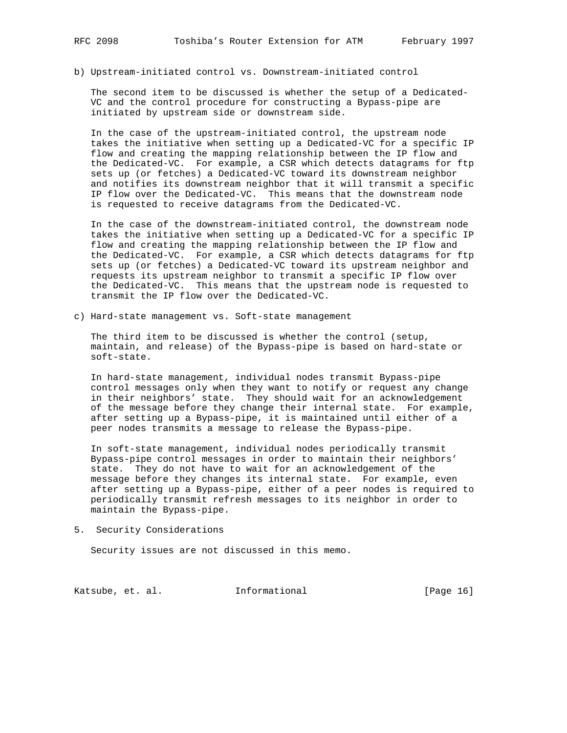- 
- b) Upstream-initiated control vs. Downstream-initiated control

 The second item to be discussed is whether the setup of a Dedicated- VC and the control procedure for constructing a Bypass-pipe are initiated by upstream side or downstream side.

 In the case of the upstream-initiated control, the upstream node takes the initiative when setting up a Dedicated-VC for a specific IP flow and creating the mapping relationship between the IP flow and the Dedicated-VC. For example, a CSR which detects datagrams for ftp sets up (or fetches) a Dedicated-VC toward its downstream neighbor and notifies its downstream neighbor that it will transmit a specific IP flow over the Dedicated-VC. This means that the downstream node is requested to receive datagrams from the Dedicated-VC.

 In the case of the downstream-initiated control, the downstream node takes the initiative when setting up a Dedicated-VC for a specific IP flow and creating the mapping relationship between the IP flow and the Dedicated-VC. For example, a CSR which detects datagrams for ftp sets up (or fetches) a Dedicated-VC toward its upstream neighbor and requests its upstream neighbor to transmit a specific IP flow over the Dedicated-VC. This means that the upstream node is requested to transmit the IP flow over the Dedicated-VC.

c) Hard-state management vs. Soft-state management

 The third item to be discussed is whether the control (setup, maintain, and release) of the Bypass-pipe is based on hard-state or soft-state.

 In hard-state management, individual nodes transmit Bypass-pipe control messages only when they want to notify or request any change in their neighbors' state. They should wait for an acknowledgement of the message before they change their internal state. For example, after setting up a Bypass-pipe, it is maintained until either of a peer nodes transmits a message to release the Bypass-pipe.

 In soft-state management, individual nodes periodically transmit Bypass-pipe control messages in order to maintain their neighbors' state. They do not have to wait for an acknowledgement of the message before they changes its internal state. For example, even after setting up a Bypass-pipe, either of a peer nodes is required to periodically transmit refresh messages to its neighbor in order to maintain the Bypass-pipe.

5. Security Considerations

Security issues are not discussed in this memo.

Katsube, et. al. 1nformational 1999 [Page 16]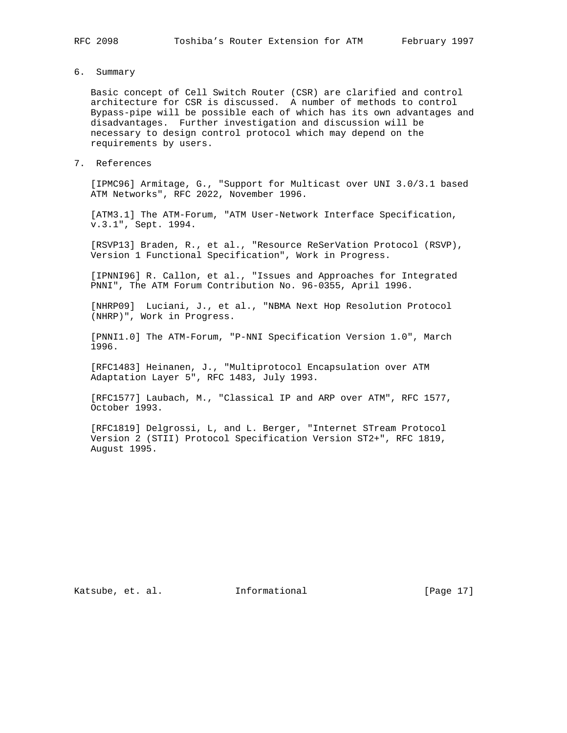- 
- 6. Summary

 Basic concept of Cell Switch Router (CSR) are clarified and control architecture for CSR is discussed. A number of methods to control Bypass-pipe will be possible each of which has its own advantages and disadvantages. Further investigation and discussion will be necessary to design control protocol which may depend on the requirements by users.

7. References

 [IPMC96] Armitage, G., "Support for Multicast over UNI 3.0/3.1 based ATM Networks", RFC 2022, November 1996.

[ATM3.1] The ATM-Forum, "ATM User-Network Interface Specification, v.3.1", Sept. 1994.

 [RSVP13] Braden, R., et al., "Resource ReSerVation Protocol (RSVP), Version 1 Functional Specification", Work in Progress.

 [IPNNI96] R. Callon, et al., "Issues and Approaches for Integrated PNNI", The ATM Forum Contribution No. 96-0355, April 1996.

 [NHRP09] Luciani, J., et al., "NBMA Next Hop Resolution Protocol (NHRP)", Work in Progress.

 [PNNI1.0] The ATM-Forum, "P-NNI Specification Version 1.0", March 1996.

 [RFC1483] Heinanen, J., "Multiprotocol Encapsulation over ATM Adaptation Layer 5", RFC 1483, July 1993.

 [RFC1577] Laubach, M., "Classical IP and ARP over ATM", RFC 1577, October 1993.

 [RFC1819] Delgrossi, L, and L. Berger, "Internet STream Protocol Version 2 (STII) Protocol Specification Version ST2+", RFC 1819, August 1995.